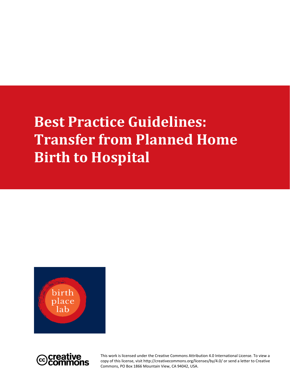# **Best Practice Guidelines: Transfer from Planned Home Birth to Hospital**



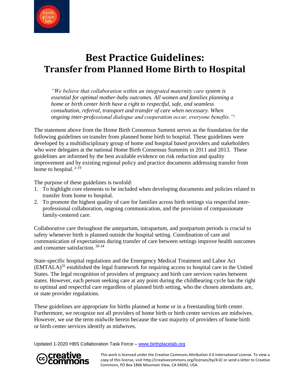

# **Best Practice Guidelines: Transfer from Planned Home Birth to Hospital**

*"We believe that collaboration within an integrated maternity care system is essential for optimal mother-baby outcomes. All women and families planning a home or birth center birth have a right to respectful, safe, and seamless consultation, referral, transport and transfer of care when necessary. When ongoing inter-professional dialogue and cooperation occur, everyone benefits."<sup>1</sup>* 

The statement above from the Home Birth Consensus Summit serves as the foundation for the following guidelines on transfer from planned home birth to hospital. These guidelines were developed by a multidisciplinary group of home and hospital based providers and stakeholders who were delegates at the national Home Birth Consensus Summits in 2011 and 2013. These guidelines are informed by the best available evidence on risk reduction and quality improvement and by existing regional policy and practice documents addressing transfer from home to hospital.  $2-19$ 

The purpose of these guidelines is twofold:

- 1. To highlight core elements to be included when developing documents and policies related to transfer from home to hospital.
- 2. To promote the highest quality of care for families across birth settings via respectful interprofessional collaboration, ongoing communication, and the provision of compassionate family-centered care.

Collaborative care throughout the antepartum, intrapartum, and postpartum periods is crucial to safety whenever birth is planned outside the hospital setting. Coordination of care and communication of expectations during transfer of care between settings improve health outcomes and consumer satisfaction. 20-34

State-specific hospital regulations and the Emergency Medical Treatment and Labor Act (EMTALA)<sup>35</sup> established the legal framework for requiring access to hospital care in the United States. The legal recognition of providers of pregnancy and birth care services varies between states. However, each person seeking care at any point during the childbearing cycle has the right to optimal and respectful care regardless of planned birth setting, who the chosen attendants are, or state provider regulations.

These guidelines are appropriate for births planned at home or in a freestanding birth center. Furthermore, we recognize not all providers of home birth or birth center services are midwives. However, we use the term midwife herein because the vast majority of providers of home birth or birth center services identify as midwives.

Updated 1-2020 HBS Collaboration Task Force – [www.birthplacelab.org](http://www.birthplacelab.org/)

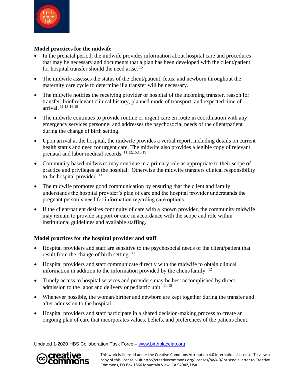

#### **Model practices for the midwife**

- In the prenatal period, the midwife provides information about hospital care and procedures that may be necessary and documents that a plan has been developed with the client/patient for hospital transfer should the need arise. <sup>15</sup>
- The midwife assesses the status of the client/patient, fetus, and newborn throughout the maternity care cycle to determine if a transfer will be necessary.
- The midwife notifies the receiving provider or hospital of the incoming transfer, reason for transfer, brief relevant clinical history, planned mode of transport, and expected time of arrival. 11,13-16,19
- The midwife continues to provide routine or urgent care en route in coordination with any emergency services personnel and addresses the psychosocial needs of the client/patient during the change of birth setting.
- Upon arrival at the hospital, the midwife provides a verbal report, including details on current health status and need for urgent care. The midwife also provides a legible copy of relevant prenatal and labor medical records. 11,12,15,16,19
- Community based midwives may continue in a primary role as appropriate to their scope of practice and privileges at the hospital. Otherwise the midwife transfers clinical responsibility to the hospital provider.<sup>13</sup>
- The midwife promotes good communication by ensuring that the client and family understands the hospital provider's plan of care and the hospital provider understands the pregnant person's need for information regarding care options.
- If the client/patient desires continuity of care with a known provider, the community midwife may remain to provide support or care in accordance with the scope and role within institutional guidelines and available staffing.

#### **Model practices for the hospital provider and staff**

- Hospital providers and staff are sensitive to the psychosocial needs of the client/patient that result from the change of birth setting.  $11$
- Hospital providers and staff communicate directly with the midwife to obtain clinical information in addition to the information provided by the client/family. 12
- Timely access to hospital services and providers may be best accomplished by direct admission to the labor and delivery or pediatric unit. 11-15
- Whenever possible, the woman/birther and newborn are kept together during the transfer and after admission to the hospital.
- Hospital providers and staff participate in a shared decision-making process to create an ongoing plan of care that incorporates values, beliefs, and preferences of the patient/client.

Updated 1-2020 HBS Collaboration Task Force – [www.birthplacelab.org](http://www.birthplacelab.org/)

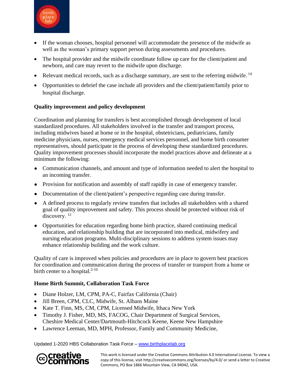

- If the woman chooses, hospital personnel will accommodate the presence of the midwife as well as the woman's primary support person during assessments and procedures.
- The hospital provider and the midwife coordinate follow up care for the client/patient and newborn, and care may revert to the midwife upon discharge.
- Relevant medical records, such as a discharge summary, are sent to the referring midwife.  $14$
- Opportunities to debrief the case include all providers and the client/patient/family prior to hospital discharge.

## **Quality improvement and policy development**

Coordination and planning for transfers is best accomplished through development of local standardized procedures. All stakeholders involved in the transfer and transport process, including midwives based at home or in the hospital, obstetricians, pediatricians, family medicine physicians, nurses, emergency medical services personnel, and home birth consumer representatives, should participate in the process of developing these standardized procedures. Quality improvement processes should incorporate the model practices above and delineate at a minimum the following:

- Communication channels, and amount and type of information needed to alert the hospital to an incoming transfer.
- Provision for notification and assembly of staff rapidly in case of emergency transfer.
- Documentation of the client/patient's perspective regarding care during transfer.
- A defined process to regularly review transfers that includes all stakeholders with a shared goal of quality improvement and safety. This process should be protected without risk of discovery.<sup>12</sup>
- Opportunities for education regarding home birth practice, shared continuing medical education, and relationship building that are incorporated into medical, midwifery and nursing education programs. Multi-disciplinary sessions to address system issues may enhance relationship building and the work culture.

Quality of care is improved when policies and procedures are in place to govern best practices for coordination and communication during the process of transfer or transport from a home or birth center to a hospital. $2-10$ 

#### **Home Birth Summit, Collaboration Task Force**

- Diane Holzer, LM, CPM, PA-C, Fairfax California (Chair)
- Jill Breen, CPM, CLC, Midwife, St. Albans Maine
- Kate T. Finn, MS, CM, CPM, Licensed Midwife, Ithaca New York
- Timothy J. Fisher, MD, MS, FACOG, Chair Department of Surgical Services, Cheshire Medical Center/Dartmouth-Hitchcock Keene, Keene New Hampshire
- Lawrence Leeman, MD, MPH, Professor, Family and Community Medicine,

Updated 1-2020 HBS Collaboration Task Force – [www.birthplacelab.org](http://www.birthplacelab.org/)

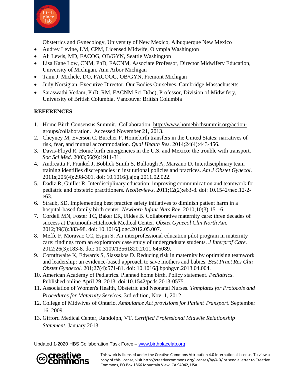

Obstetrics and Gynecology, University of New Mexico, Albuquerque New Mexico

- Audrey Levine, LM, CPM, Licensed Midwife, Olympia Washington
- Ali Lewis, MD, FACOG, OB/GYN, Seattle Washington
- Lisa Kane Low, CNM, PhD, FACNM, Associate Professor, Director Midwifery Education, University of Michigan, Ann Arbor Michigan
- Tami J. Michele, DO, FACOOG, OB/GYN, Fremont Michigan
- Judy Norsigian, Executive Director, Our Bodies Ourselves, Cambridge Massachusetts
- Saraswathi Vedam, PhD, RM, FACNM Sci D(hc), Professor, Division of Midwifery, University of British Columbia, Vancouver British Columbia

## **REFERENCES**

- 1. Home Birth Consensus Summit. Collaboration. [http://www.homebirthsummit.org/action](http://www.homebirthsummit.org/action-groups/collaboration)[groups/collaboration.](http://www.homebirthsummit.org/action-groups/collaboration) Accessed November 21, 2013.
- 2. Cheyney M, Everson C, Burcher P. Homebirth transfers in the United States: narratives of risk, fear, and mutual accommodation. *Qual Health Res*. 2014;24(4):443-456.
- 3. Davis-Floyd R. Home birth emergencies in the U.S. and Mexico: the trouble with transport. *Soc Sci Med*. 2003;56(9):1911-31.
- 4. Andreatta P, Frankel J, Boblick Smith S, Bullough A, Marzano D. Interdisciplinary team training identifies discrepancies in institutional policies and practices. *Am J Obstet Gynecol*. 2011s;205(4):298-301. doi: 10.1016/j.ajog.2011.02.022.
- 5. Dadiz R, Guillet R. Interdisciplinary education: improving communication and teamwork for pediatric and obstetric practitioners. *NeoReviews*. 2011;12(2):e63-8. doi: 10.1542/neo.12-2 e63.
- 6. Straub, SD. Implementing best practice safety initiatives to diminish patient harm in a hospital-based family birth center. *Newborn Infant Nurs Rev*. 2010;10(3):151-6.
- 7. Cordell MN, Foster TC, Baker ER, Fildes B. Collaborative maternity care: three decades of success at Dartmouth-Hitchcock Medical Center. *Obstet Gynecol Clin North Am*. 2012;39(3):383-98. doi: 10.1016/j.ogc.2012.05.007.
- 8. Meffe F, Moravac CC, Espin S. An interprofessional education pilot program in maternity care: findings from an exploratory case study of undergraduate students. *J Interprof Care.*  2012;26(3):183-8. doi: 10.3109/13561820.2011.645089.
- 9. Cornthwaite K, Edwards S, Siassakos D. Reducing risk in maternity by optimising teamwork and leadership: an evidence-based approach to save mothers and babies. *Best Pract Res Clin Obstet Gynaecol.* 201;27(4):571-81. doi: 10.1016/j.bpobgyn.2013.04.004.
- 10. American Academy of Pediatrics. Planned home birth. Policy statement. *Pediatrics*. Published online April 29, 2013. doi:10.1542/peds.2013-0575.
- 11. Association of Women's Health, Obstetric and Neonatal Nurses. *Templates for Protocols and Procedures for Maternity Services.* 3rd edition, Nov. 1, 2012.
- 12. College of Midwives of Ontario. *Ambulance Act provisions for Patient Transport*. September 16, 2009.
- 13. Gifford Medical Center, Randolph, VT. *Certified Professional Midwife Relationship Statement*. January 2013.

Updated 1-2020 HBS Collaboration Task Force – [www.birthplacelab.org](http://www.birthplacelab.org/)

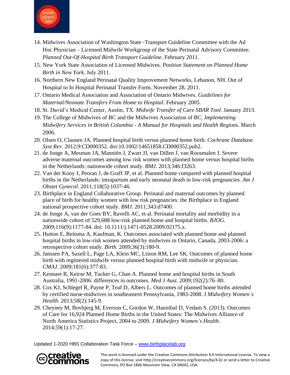

- 14. Midwives Association of Washington State -Transport Guideline Committee with the Ad Hoc Physician – Licensed Midwife Workgroup of the State Perinatal Advisory Committee. *Planned Out-Of-Hospital Birth Transport Guideline*. February 2011.
- 15. New York State Association of Licensed Midwives. *Position Statement on Planned Home Birth in New York*. July 2011.
- 16. Northern New England Perinatal Quality Improvement Networks, Lebanon, NH. Out of Hospital to In Hospital Perinatal Transfer Form. November 28, 2011.
- 17. Ontario Medical Association and Association of Ontario Midwives. *Guidelines for Maternal/Neonate Transfers From Home to Hospital*. February 2005.
- 18. St. David's Medical Center, Austin, TX. *Midwife Transfer of Care SBAR Tool*. January 2013.
- 19. The College of Midwives of BC and the Midwives Association of BC. *Implementing Midwifery Services in British Columbia - A Manual for Hospitals and Health Regions*. March 2006.
- 20. Olsen O, Clausen JA. Planned hospital birth versus planned home birth. *Cochrane Database Syst Rev*. 2012;9:CD000352. doi:10.1002/14651858.CD000352.pub2.
- 21. de Jonge A, Mesman JA, Manniën J, Zwart JJ, van Dillen J, van Roosmalen J. Severe adverse maternal outcomes among low risk women with planned home versus hospital births in the Netherlands: nationwide cohort study. *BMJ*. 2013;346:f3263.
- 22. Van der Kooy J, Peoran J, de Graff JP, et al. Planned home compared with planned hospital births in the Netherlands: intrapartum and early neonatal death in low-risk pregnancies. *Am J Obstet Gynecol*. 2011;118(5):1037-46.
- 23. Birthplace in England Collaborative Group. Perinatal and maternal outcomes by planned place of birth for healthy women with low risk pregnancies: the Birthplace in England national prospective cohort study. *BMJ*. 2011;343:d7400.
- 24. de Jonge A, van der Goes BY, Ravelli AC, et al. Perinatal mortality and morbidity in a nationwide cohort of 529,688 low-risk planned home and hospital births. *BJOG*. 2009;116(9):1177-84. doi: 10.1111/j.1471-0528.2009.02175.x.
- 25. Hutton E, Reitsma A, Kaufman, K. Outcomes associated with planned home and planned hospital births in low-risk women attended by midwives in Ontario, Canada, 2003-2006: a retrospective cohort study. *Birth*. 2009;36(3):180-9.
- 26. Janssen PA, Saxell L, Page LA, Klein MC, Liston RM, Lee SK. Outcomes of planned home birth with registered midwife versus planned hospital birth with midwife or physician. *CMAJ*. 2009;181(6):377-83.
- 27. Kennare R, Keirse M, Tucker G, Chan A. Planned home and hospital births in South Australia, 1991-2006: differences in outcomes. *Med J Aust*. 2009;192(2):76–80.
- 28. Cox KJ, Schlegel R, Payne P, Teaf D, Albers L. Outcomes of planned home births attended by certified nurse-midwives in southeastern Pennsylvania, 1983-2008. J *Midwifery Women's Health*. 2013;58(2):145-9.
- 29. Cheyney M, Bovbjerg M, Everson C, Gordon W, Hannibal D, Vedam S. (2013). Outcomes of Care for 16,924 Planned Home Births in the United States: The Midwives Alliance of North America Statistics Project, 2004 to 2009. *J Midwifery Women's Health*. 2014;59(1):17-27.

Updated 1-2020 HBS Collaboration Task Force – [www.birthplacelab.org](http://www.birthplacelab.org/)